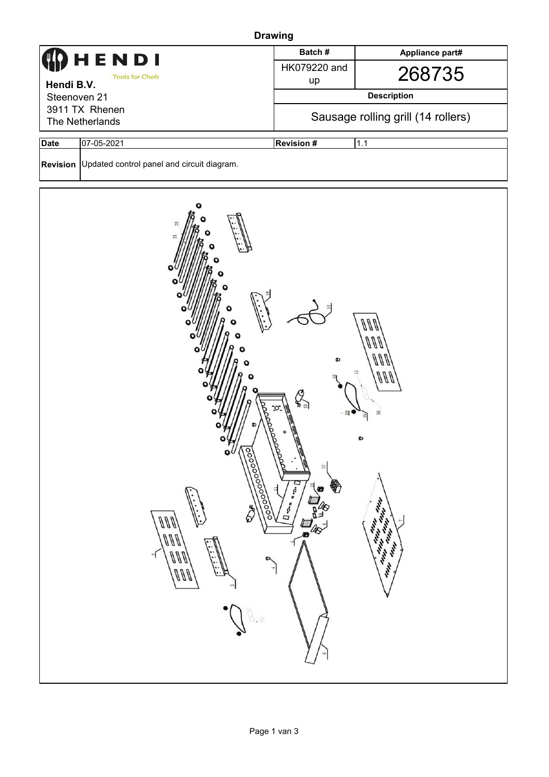| <b>Drawing</b>                                                                                                                                                                                                                                                                                                                                                                                                                                                                                                                                                                                                                                                                                    |                                            |                                    |                 |  |  |  |  |  |  |
|---------------------------------------------------------------------------------------------------------------------------------------------------------------------------------------------------------------------------------------------------------------------------------------------------------------------------------------------------------------------------------------------------------------------------------------------------------------------------------------------------------------------------------------------------------------------------------------------------------------------------------------------------------------------------------------------------|--------------------------------------------|------------------------------------|-----------------|--|--|--|--|--|--|
|                                                                                                                                                                                                                                                                                                                                                                                                                                                                                                                                                                                                                                                                                                   | ENDI                                       | Batch#                             | Appliance part# |  |  |  |  |  |  |
| <b>Tools for Chefs</b><br>Hendi B.V.<br>Steenoven 21                                                                                                                                                                                                                                                                                                                                                                                                                                                                                                                                                                                                                                              |                                            | HK079220 and                       | 268735          |  |  |  |  |  |  |
|                                                                                                                                                                                                                                                                                                                                                                                                                                                                                                                                                                                                                                                                                                   |                                            | up                                 |                 |  |  |  |  |  |  |
|                                                                                                                                                                                                                                                                                                                                                                                                                                                                                                                                                                                                                                                                                                   |                                            | <b>Description</b>                 |                 |  |  |  |  |  |  |
| 3911 TX Rhenen<br>The Netherlands                                                                                                                                                                                                                                                                                                                                                                                                                                                                                                                                                                                                                                                                 |                                            | Sausage rolling grill (14 rollers) |                 |  |  |  |  |  |  |
| <b>Date</b>                                                                                                                                                                                                                                                                                                                                                                                                                                                                                                                                                                                                                                                                                       | 07-05-2021                                 | <b>Revision #</b>                  | 1.1             |  |  |  |  |  |  |
| <b>Revision</b>                                                                                                                                                                                                                                                                                                                                                                                                                                                                                                                                                                                                                                                                                   | Updated control panel and circuit diagram. |                                    |                 |  |  |  |  |  |  |
|                                                                                                                                                                                                                                                                                                                                                                                                                                                                                                                                                                                                                                                                                                   |                                            |                                    |                 |  |  |  |  |  |  |
| W<br>M<br>V V V<br>$\mathbf{h}$ and<br>°.<br>91<br>$\mathbf{o} \mathcal{U} \mathcal{N}$<br>book<br>$\overline{\mathbb{Z}}$<br>♦<br>$\begin{bmatrix} 0 & \texttt{1} & \texttt{1} & \texttt{1} & \texttt{1} & \texttt{1} & \texttt{1} & \texttt{1} & \texttt{1} & \texttt{1} & \texttt{1} & \texttt{1} & \texttt{1} & \texttt{1} & \texttt{1} & \texttt{1} & \texttt{1} & \texttt{1} & \texttt{1} & \texttt{1} & \texttt{1} & \texttt{1} & \texttt{1} & \texttt{1} & \texttt{1} & \texttt{1} & \texttt{1} & \texttt{1} & \texttt{1} & \texttt{1} & \texttt{1} & \$<br><b>CARLIS</b><br>╡<br>\$<br>ann<br>D<br>ann<br>ann<br>্ব<br>D,<br><b>MA</b><br>ann<br>$\ddot{\cdot}$<br>$\infty$<br>$\beta^n$ |                                            |                                    |                 |  |  |  |  |  |  |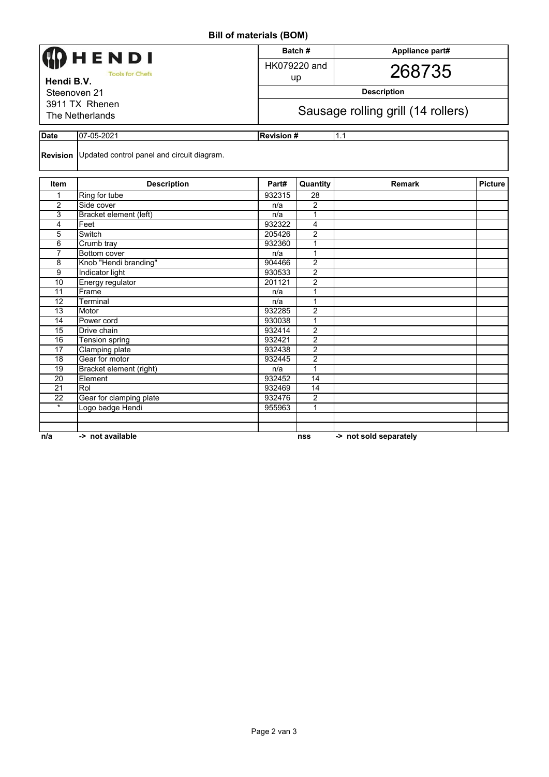**Bill of materials (BOM)**

| <b>PHENDI</b><br><b>Tools for Chefs</b><br>Hendi B.V.<br>Steenoven 21<br>3911 TX Rhenen<br>The Netherlands |                                            |                  | Batch#<br>Appliance part#          |               |                |  |  |
|------------------------------------------------------------------------------------------------------------|--------------------------------------------|------------------|------------------------------------|---------------|----------------|--|--|
|                                                                                                            |                                            |                  | HK079220 and<br>up                 | 268735        |                |  |  |
|                                                                                                            |                                            |                  | <b>Description</b>                 |               |                |  |  |
|                                                                                                            |                                            |                  | Sausage rolling grill (14 rollers) |               |                |  |  |
| <b>Date</b>                                                                                                | 07-05-2021                                 | <b>Revision#</b> |                                    | 1.1           |                |  |  |
| <b>Revision</b>                                                                                            | Updated control panel and circuit diagram. |                  |                                    |               |                |  |  |
| <b>Item</b>                                                                                                | <b>Description</b>                         | Part#            | Quantity                           | <b>Remark</b> | <b>Picture</b> |  |  |
|                                                                                                            | Ring for tube                              | 932315           | 28                                 |               |                |  |  |
| 2                                                                                                          | Side cover                                 | n/a              | 2                                  |               |                |  |  |
| $\sim$                                                                                                     | $D$ and $A$ algebras $A$ $(A \land B)$     | $-1-$            | $\overline{A}$                     |               |                |  |  |

|          | <b>INIIYU IVI LUDE</b>  | <b>JULU 10</b> | 20             |                        |  |
|----------|-------------------------|----------------|----------------|------------------------|--|
| 2        | Side cover              | n/a            | $\overline{2}$ |                        |  |
| 3        | Bracket element (left)  | n/a            |                |                        |  |
| 4        | Feet                    | 932322         | 4              |                        |  |
| 5        | Switch                  | 205426         | $\overline{2}$ |                        |  |
| 6        | Crumb tray              | 932360         |                |                        |  |
|          | Bottom cover            | n/a            |                |                        |  |
| 8        | Knob "Hendi branding"   | 904466         | $\overline{2}$ |                        |  |
| 9        | Indicator light         | 930533         | 2              |                        |  |
| 10       | Energy regulator        | 201121         | 2              |                        |  |
| 11       | Frame                   | n/a            |                |                        |  |
| 12       | Terminal                | n/a            |                |                        |  |
| 13       | Motor                   | 932285         | $\overline{2}$ |                        |  |
| 14       | Power cord              | 930038         |                |                        |  |
| 15       | Drive chain             | 932414         | $\overline{2}$ |                        |  |
| 16       | Tension spring          | 932421         | 2              |                        |  |
| 17       | Clamping plate          | 932438         | $\overline{2}$ |                        |  |
| 18       | Gear for motor          | 932445         | $\overline{2}$ |                        |  |
| 19       | Bracket element (right) | n/a            | 1              |                        |  |
| 20       | Element                 | 932452         | 14             |                        |  |
| 21       | Rol                     | 932469         | 14             |                        |  |
| 22       | Gear for clamping plate | 932476         | $\overline{2}$ |                        |  |
| $^\star$ | Logo badge Hendi        | 955963         |                |                        |  |
|          |                         |                |                |                        |  |
|          |                         |                |                |                        |  |
| n/a      | -> not available        |                | nss            | -> not sold separately |  |